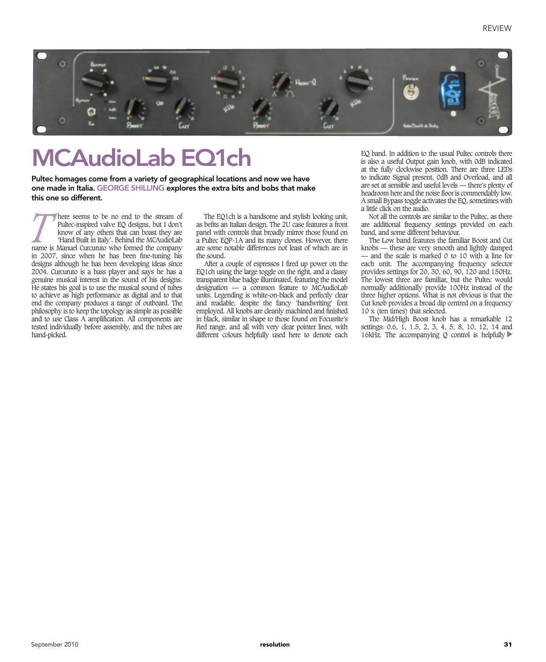

## MCAudioLab EQ1ch

Pultec homages come from a variety of geographical locations and now we have one made in Italia. GEORGE SHILLING explores the extra bits and bobs that make this one so different.

**THE SEEM SEEM IS NOTE OF THE SEEM OF THE CONSERVANCE CONTROLLED THAN Built in Italy'. Behind the MCAudioLab name is Manuel Curcuruto who formed the company** Pultec-inspired valve EQ designs, but I don't know of any others that can boast they are 'Hand Built in Italy'. Behind the MCAudioLab in 2007, since when he has been fine-tuning his designs although he has been developing ideas since 2004. Curcuruto is a bass player and says he has a genuine musical interest in the sound of his designs. He states his goal is to use the musical sound of tubes to achieve as high performance as digital and to that end the company produces a range of outboard. The philosophy is to keep the topology as simple as possible and to use Class A amplification. All components are tested individually before assembly, and the tubes are hand-picked.

The EQ1ch is a handsome and stylish looking unit, as befits an Italian design. The 2U case features a front panel with controls that broadly mirror those found on a Pultec EQP-1A and its many clones. However, there are some notable differences not least of which are in the sound.

After a couple of espressos I fired up power on the EQ1ch using the large toggle on the right, and a classy transparent blue badge illuminated, featuring the model designation — a common feature to MCAudioLab units. Legending is white-on-black and perfectly clear and readable, despite the fancy 'handwriting' font employed. All knobs are cleanly machined and finished in black, similar in shape to those found on Focusrite's Red range, and all with very clear pointer lines, with different colours helpfully used here to denote each

EQ band. In addition to the usual Pultec controls there is also a useful Output gain knob, with 0dB indicated at the fully clockwise position. There are three LEDs to indicate Signal present, 0dB and Overload, and all are set at sensible and useful levels — there's plenty of headroom here and the noise floor is commendably low. A small Bypass toggle activates the EQ, sometimes with a little click on the audio.

Not all the controls are similar to the Pultec, as there are additional frequency settings provided on each band, and some different behaviour.

The Low band features the familiar Boost and Cut knobs — these are very smooth and lightly damped — and the scale is marked 0 to 10 with a line for each unit. The accompanying frequency selector provides settings for 20, 30, 60, 90, 120 and 150Hz. The lowest three are familiar, but the Pultec would normally additionally provide 100Hz instead of the three higher options. What is not obvious is that the Cut knob provides a broad dip centred on a frequency 10 x (ten times) that selected.

The Mid/High Boost knob has a remarkable 12 settings: 0.6, 1, 1.5, 2, 3, 4, 5, 8, 10, 12, 14 and 16kHz. The accompanying Q control is helpfully